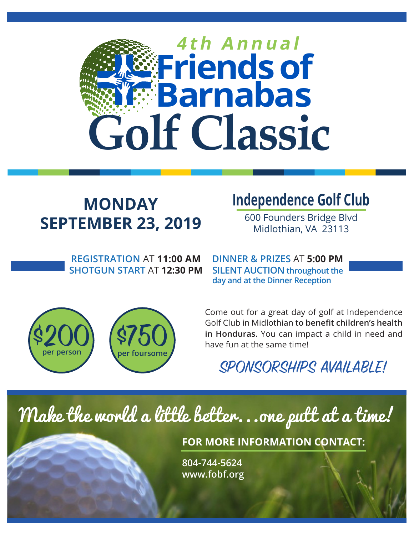

## **MONDAY SEPTEMBER 23, 2019**

**REGISTRATION** AT **11:00 AM SHOTGUN START** AT **12:30 PM**

### **Independence Golf Club**

600 Founders Bridge Blvd Midlothian, VA 23113

**DINNER & PRIZES** AT **5:00 PM SILENT AUCTION throughout the day and at the Dinner Reception**



Come out for a great day of golf at Independence Golf Club in Midlothian **to benefit children's health in Honduras.** You can impact a child in need and have fun at the same time!

### SPONSORSHIPS AVAILABLE!

# Make the world a little better...one putt at a time!

**FOR MORE INFORMATION CONTACT:**

**804-744-5624 www.fobf.org**